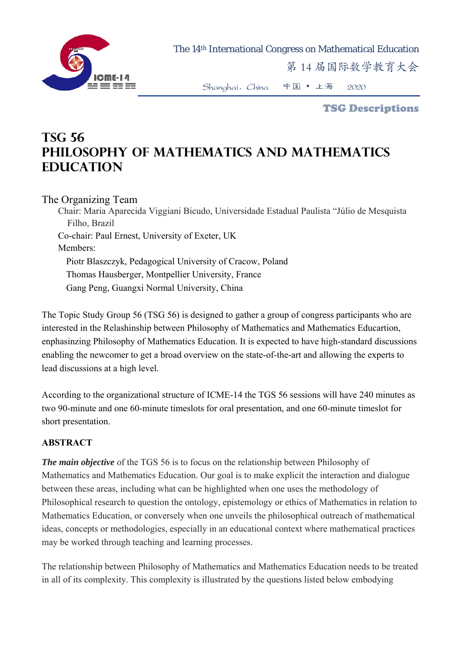

The 14th International Congress on Mathematical Education

第 14 届国际数学教育大会

Shanghai,China 中国 • 上海 2020

TSG Descriptions

## **TSG 56 Philosophy of mathematics and mathematics education**

## The Organizing Team

Chair: Maria Aparecida Viggiani Bicudo, Universidade Estadual Paulista "Júlio de Mesquista Filho, Brazil Co-chair: Paul Ernest, University of Exeter, UK Members: Piotr Blaszczyk, Pedagogical University of Cracow, Poland Thomas Hausberger, Montpellier University, France Gang Peng, Guangxi Normal University, China

The Topic Study Group 56 (TSG 56) is designed to gather a group of congress participants who are interested in the Relashinship between Philosophy of Mathematics and Mathematics Educartion, enphasinzing Philosophy of Mathematics Education. It is expected to have high-standard discussions enabling the newcomer to get a broad overview on the state-of-the-art and allowing the experts to lead discussions at a high level.

According to the organizational structure of ICME-14 the TGS 56 sessions will have 240 minutes as two 90-minute and one 60-minute timeslots for oral presentation, and one 60-minute timeslot for short presentation.

## **ABSTRACT**

*The main objective* of the TGS 56 is to focus on the relationship between Philosophy of Mathematics and Mathematics Education. Our goal is to make explicit the interaction and dialogue between these areas, including what can be highlighted when one uses the methodology of Philosophical research to question the ontology, epistemology or ethics of Mathematics in relation to Mathematics Education, or conversely when one unveils the philosophical outreach of mathematical ideas, concepts or methodologies, especially in an educational context where mathematical practices may be worked through teaching and learning processes.

The relationship between Philosophy of Mathematics and Mathematics Education needs to be treated in all of its complexity. This complexity is illustrated by the questions listed below embodying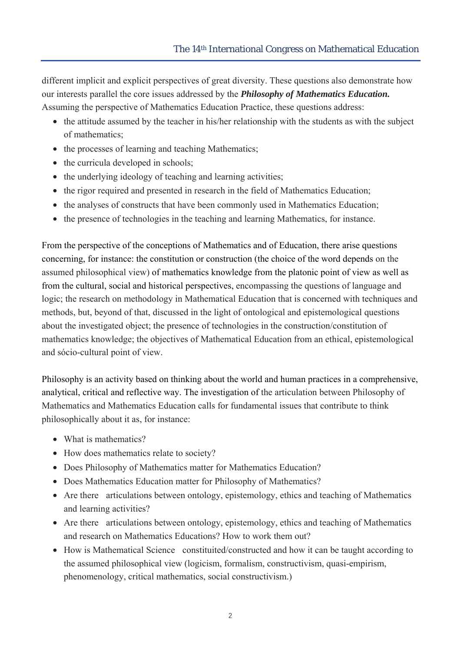different implicit and explicit perspectives of great diversity. These questions also demonstrate how our interests parallel the core issues addressed by the *Philosophy of Mathematics Education.* Assuming the perspective of Mathematics Education Practice, these questions address:

- the attitude assumed by the teacher in his/her relationship with the students as with the subject of mathematics;
- the processes of learning and teaching Mathematics;
- the curricula developed in schools;
- the underlying ideology of teaching and learning activities;
- the rigor required and presented in research in the field of Mathematics Education;
- the analyses of constructs that have been commonly used in Mathematics Education;
- the presence of technologies in the teaching and learning Mathematics, for instance.

From the perspective of the conceptions of Mathematics and of Education, there arise questions concerning, for instance: the constitution or construction (the choice of the word depends on the assumed philosophical view) of mathematics knowledge from the platonic point of view as well as from the cultural, social and historical perspectives, encompassing the questions of language and logic; the research on methodology in Mathematical Education that is concerned with techniques and methods, but, beyond of that, discussed in the light of ontological and epistemological questions about the investigated object; the presence of technologies in the construction/constitution of mathematics knowledge; the objectives of Mathematical Education from an ethical, epistemological and sócio-cultural point of view.

Philosophy is an activity based on thinking about the world and human practices in a comprehensive, analytical, critical and reflective way. The investigation of the articulation between Philosophy of Mathematics and Mathematics Education calls for fundamental issues that contribute to think philosophically about it as, for instance:

- What is mathematics?
- How does mathematics relate to society?
- Does Philosophy of Mathematics matter for Mathematics Education?
- Does Mathematics Education matter for Philosophy of Mathematics?
- Are there articulations between ontology, epistemology, ethics and teaching of Mathematics and learning activities?
- Are there articulations between ontology, epistemology, ethics and teaching of Mathematics and research on Mathematics Educations? How to work them out?
- How is Mathematical Science constituited/constructed and how it can be taught according to the assumed philosophical view (logicism, formalism, constructivism, quasi-empirism, phenomenology, critical mathematics, social constructivism.)